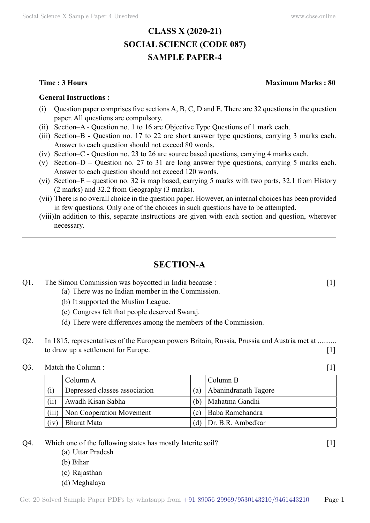# **CLASS X (2020-21) SOCIAL SCIENCE (CODE 087) SAMPLE PAPER-4**

#### **General Instructions :**

- (i) Question paper comprises five sections  $A, B, C, D$  and E. There are 32 questions in the question paper. All questions are compulsory.
- (ii) Section–A Question no. 1 to 16 are Objective Type Questions of 1 mark each.
- (iii) Section–B Question no. 17 to 22 are short answer type questions, carrying 3 marks each. Answer to each question should not exceed 80 words.
- (iv) Section–C Question no. 23 to 26 are source based questions, carrying 4 marks each.
- (v) Section–D Question no. 27 to 31 are long answer type questions, carrying 5 marks each. Answer to each question should not exceed 120 words.
- (vi) Section–E question no. 32 is map based, carrying 5 marks with two parts, 32.1 from History (2 marks) and 32.2 from Geography (3 marks).
- (vii) There is no overall choice in the question paper. However, an internal choices has been provided in few questions. Only one of the choices in such questions have to be attempted.
- (viii) In addition to this, separate instructions are given with each section and question, wherever necessary.

# **Section-A**

## Q1. The Simon Commission was boycotted in India because : [1]

- (a) There was no Indian member in the Commission.
	- (b) It supported the Muslim League.
	- (c) Congress felt that people deserved Swaraj.
	- (d) There were differences among the members of the Commission.
- Q2. In 1815, representatives of the European powers Britain, Russia, Prussia and Austria met at ......... to draw up a settlement for Europe. [1]

#### Q3. Match the Column : [1]

|       | Column A                      |       | Column B             |
|-------|-------------------------------|-------|----------------------|
| (i)   | Depressed classes association | $(a)$ | Abanindranath Tagore |
| (ii)  | Awadh Kisan Sabha             | b)    | Mahatma Gandhi       |
| (iii) | Non Cooperation Movement      | (c)   | Baba Ramchandra      |
| (iv)  | Bharat Mata                   | (d)   | Dr. B.R. Ambedkar    |

- Q4. Which one of the following states has mostly laterite soil? [1]
	- (a) Uttar Pradesh
	- (b) Bihar
	- (c) Rajasthan
	- (d) Meghalaya

#### **Time : 3 Hours Maximum Marks : 80**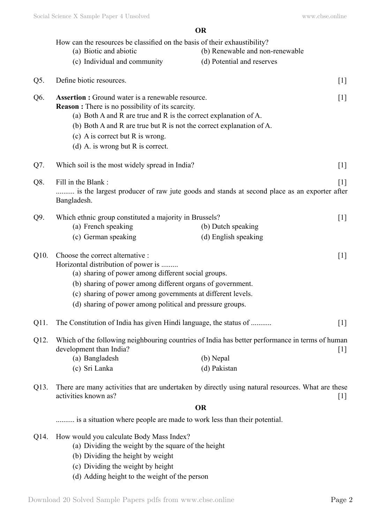**O**

|      |                                                                                                                                     | VN                              |                   |  |  |
|------|-------------------------------------------------------------------------------------------------------------------------------------|---------------------------------|-------------------|--|--|
|      | How can the resources be classified on the basis of their exhaustibility?                                                           |                                 |                   |  |  |
|      | (a) Biotic and abiotic                                                                                                              | (b) Renewable and non-renewable |                   |  |  |
|      | (c) Individual and community                                                                                                        | (d) Potential and reserves      |                   |  |  |
| Q5.  | Define biotic resources.                                                                                                            |                                 | $[1]$             |  |  |
| Q6.  | <b>Assertion :</b> Ground water is a renewable resource.                                                                            |                                 |                   |  |  |
|      | <b>Reason :</b> There is no possibility of its scarcity.<br>(a) Both A and R are true and R is the correct explanation of A.        |                                 |                   |  |  |
|      | (b) Both A and R are true but R is not the correct explanation of A.                                                                |                                 |                   |  |  |
|      | (c) A is correct but R is wrong.                                                                                                    |                                 |                   |  |  |
|      | (d) A. is wrong but $R$ is correct.                                                                                                 |                                 |                   |  |  |
|      |                                                                                                                                     |                                 |                   |  |  |
| Q7.  | Which soil is the most widely spread in India?                                                                                      |                                 | $[1]$             |  |  |
| Q8.  | Fill in the Blank:                                                                                                                  |                                 | $\lceil 1 \rceil$ |  |  |
|      | is the largest producer of raw jute goods and stands at second place as an exporter after<br>Bangladesh.                            |                                 |                   |  |  |
| Q9.  | Which ethnic group constituted a majority in Brussels?                                                                              |                                 | $[1]$             |  |  |
|      | (a) French speaking                                                                                                                 | (b) Dutch speaking              |                   |  |  |
|      | (c) German speaking                                                                                                                 | (d) English speaking            |                   |  |  |
| Q10. | Choose the correct alternative :                                                                                                    |                                 | $[1]$             |  |  |
|      | Horizontal distribution of power is                                                                                                 |                                 |                   |  |  |
|      | (a) sharing of power among different social groups.                                                                                 |                                 |                   |  |  |
|      | (b) sharing of power among different organs of government.                                                                          |                                 |                   |  |  |
|      | (c) sharing of power among governments at different levels.<br>(d) sharing of power among political and pressure groups.            |                                 |                   |  |  |
|      |                                                                                                                                     |                                 |                   |  |  |
| Q11. | The Constitution of India has given Hindi language, the status of                                                                   |                                 | $[1]$             |  |  |
| Q12. | Which of the following neighbouring countries of India has better performance in terms of human<br>development than India?<br>$[1]$ |                                 |                   |  |  |
|      | (a) Bangladesh                                                                                                                      | (b) Nepal                       |                   |  |  |
|      | (c) Sri Lanka                                                                                                                       | (d) Pakistan                    |                   |  |  |
| Q13. | There are many activities that are undertaken by directly using natural resources. What are these<br>activities known as?<br>$[1]$  |                                 |                   |  |  |
|      | <b>OR</b>                                                                                                                           |                                 |                   |  |  |
|      | is a situation where people are made to work less than their potential.                                                             |                                 |                   |  |  |
| Q14. | How would you calculate Body Mass Index?                                                                                            |                                 |                   |  |  |
|      | (a) Dividing the weight by the square of the height                                                                                 |                                 |                   |  |  |
|      | (b) Dividing the height by weight                                                                                                   |                                 |                   |  |  |
|      | (c) Dividing the weight by height                                                                                                   |                                 |                   |  |  |
|      | (d) Adding height to the weight of the person                                                                                       |                                 |                   |  |  |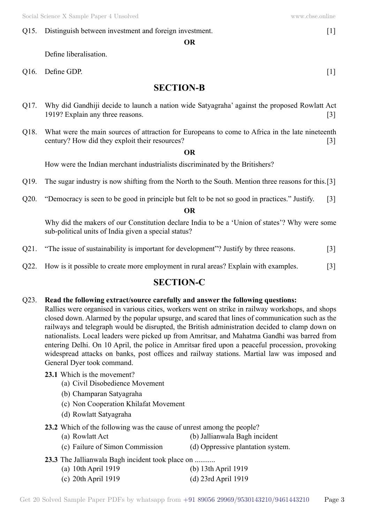## Q15. Distinguish between investment and foreign investment. [1]

 **O**

Define liberalisation.

 $Q16.$  Define GDP.  $[1]$ 

## **Section-B**

- Q17. Why did Gandhiji decide to launch a nation wide Satyagraha' against the proposed Rowlatt Act 1919? Explain any three reasons. [3]
- Q18. What were the main sources of attraction for Europeans to come to Africa in the late nineteenth century? How did they exploit their resources? [3]

#### **O**

How were the Indian merchant industrialists discriminated by the Britishers?

- Q19. The sugar industry is now shifting from the North to the South. Mention three reasons for this. [3]
- Q20. "Democracy is seen to be good in principle but felt to be not so good in practices." Justify. [3]

#### **O**

Why did the makers of our Constitution declare India to be a 'Union of states'? Why were some sub-political units of India given a special status?

- Q21. "The issue of sustainability is important for development"? Justify by three reasons. [3]
- Q22. How is it possible to create more employment in rural areas? Explain with examples. [3]

## **Section-C**

#### Q23. **Read the following extract/source carefully and answer the following questions:**

Rallies were organised in various cities, workers went on strike in railway workshops, and shops closed down. Alarmed by the popular upsurge, and scared that lines of communication such as the railways and telegraph would be disrupted, the British administration decided to clamp down on nationalists. Local leaders were picked up from Amritsar, and Mahatma Gandhi was barred from entering Delhi. On 10 April, the police in Amritsar fired upon a peaceful procession, provoking widespread attacks on banks, post offices and railway stations. Martial law was imposed and General Dyer took command.

- **23.1** Which is the movement?
	- (a) Civil Disobedience Movement
	- (b) Champaran Satyagraha
	- (c) Non Cooperation Khilafat Movement
	- (d) Rowlatt Satyagraha
- **23.2** Which of the following was the cause of unrest among the people?
	- (a) Rowlatt Act (b) Jallianwala Bagh incident
	- (c) Failure of Simon Commission (d) Oppressive plantation system.
- 
- **23.3** The Jallianwala Bagh incident took place on ...........
	- (a) 10th April 1919 (b) 13th April 1919
	- (c) 20th April 1919 (d) 23rd April 1919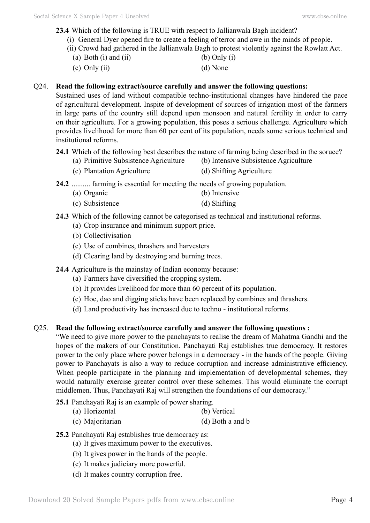**23.4** Which of the following is TRUE with respect to Jallianwala Bagh incident?

- (i) General Dyer opened fire to create a feeling of terror and awe in the minds of people.
- (ii) Crowd had gathered in the Jallianwala Bagh to protest violently against the Rowlatt Act.
- (a) Both (i) and (ii)  $\qquad \qquad$  (b) Only (i)
- (c) Only (ii)  $(d)$  None

### Q24. **Read the following extract/source carefully and answer the following questions:**

Sustained uses of land without compatible techno-institutional changes have hindered the pace of agricultural development. Inspite of development of sources of irrigation most of the farmers in large parts of the country still depend upon monsoon and natural fertility in order to carry on their agriculture. For a growing population, this poses a serious challenge. Agriculture which provides livelihood for more than 60 per cent of its population, needs some serious technical and institutional reforms.

**24.1** Which of the following best describes the nature of farming being described in the soruce?

- (a) Primitive Subsistence Agriculture (b) Intensive Subsistence Agriculture
- (c) Plantation Agriculture (d) Shifting Agriculture
- **24.2** .......... farming is essential for meeting the needs of growing population.
	- (a) Organic (b) Intensive (c) Subsistence (d) Shifting
	-
- **24.3** Which of the following cannot be categorised as technical and institutional reforms.
	- (a) Crop insurance and minimum support price.
		- (b) Collectivisation
		- (c) Use of combines, thrashers and harvesters
		- (d) Clearing land by destroving and burning trees.
- **24.4** Agriculture is the mainstay of Indian economy because:
	- (a) Farmers have diversified the cropping system.
	- (b) It provides livelihood for more than 60 percent of its population.
	- (c) Hoe, dao and digging sticks have been replaced by combines and thrashers.
	- (d) Land productivity has increased due to techno institutional reforms.

## Q25. **Read the following extract/source carefully and answer the following questions :**

"We need to give more power to the panchayats to realise the dream of Mahatma Gandhi and the hopes of the makers of our Constitution. Panchayati Raj establishes true democracy. It restores power to the only place where power belongs in a democracy - in the hands of the people. Giving power to Panchayats is also a way to reduce corruption and increase administrative efficiency. When people participate in the planning and implementation of developmental schemes, they would naturally exercise greater control over these schemes. This would eliminate the corrupt middlemen. Thus, Panchayati Raj will strengthen the foundations of our democracy."

- **25.1** Panchayati Raj is an example of power sharing.
	- (a) Horizontal (b) Vertical
	- (c) Majoritarian (d) Both a and b
- **25.2** Panchayati Raj establishes true democracy as:
	- (a) It gives maximum power to the executives.
	- (b) It gives power in the hands of the people.
	- (c) It makes judiciary more powerful.
	- (d) It makes country corruption free.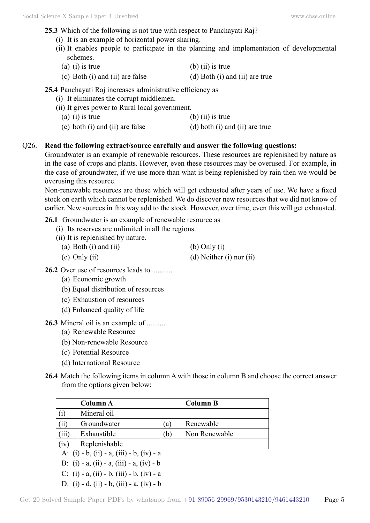- **25.3** Which of the following is not true with respect to Panchayati Raj?
	- (i) It is an example of horizontal power sharing.
	- (ii) It enables people to participate in the planning and implementation of developmental schemes.
		- (a) (i) is true  $\qquad \qquad$  (b) (ii) is true
	- (c) Both (i) and (ii) are false (d) Both (i) and (ii) are true

**25.4** Panchayati Raj increases administrative efficiency as

- (i) It eliminates the corrupt middlemen.
- (ii) It gives power to Rural local government.
	- (a) (i) is true  $\qquad \qquad$  (b) (ii) is true (c) both (i) and (ii) are false  $\qquad$  (d) both (i) and (ii) are true

### Q26. **Read the following extract/source carefully and answer the following questions:**

Groundwater is an example of renewable resources. These resources are replenished by nature as in the case of crops and plants. However, even these resources may be overused. For example, in the case of groundwater, if we use more than what is being replenished by rain then we would be overusing this resource.

Non-renewable resources are those which will get exhausted after years of use. We have a fixed stock on earth which cannot be replenished. We do discover new resources that we did not know of earlier. New sources in this way add to the stock. However, over time, even this will get exhausted.

**26.1** Groundwater is an example of renewable resource as

- (i) Its reserves are unlimited in all the regions.
- (ii) It is replenished by nature.
	- (a) Both (i) and (ii)  $\qquad \qquad$  (b) Only (i)
		-

(c) Only (ii)  $(d)$  Neither (i) nor (ii)

- 26.2 Over use of resources leads to ..........
	- (a) Economic growth
	- (b) Equal distribution of resources
	- (c) Exhaustion of resources
	- (d) Enhanced quality of life
- **26.3** Mineral oil is an example of ...........
	- (a) Renewable Resource
	- (b) Non-renewable Resource
	- (c) Potential Resource
	- (d) International Resource
- **26.4** Match the following items in column A with those in column B and choose the correct answer from the options given below:

|                                           | Column A      |     | <b>Column B</b> |  |  |  |
|-------------------------------------------|---------------|-----|-----------------|--|--|--|
| (i)                                       | Mineral oil   |     |                 |  |  |  |
| (ii)                                      | Groundwater   | (a) | Renewable       |  |  |  |
| (iii)                                     | Exhaustible   | (b) | Non Renewable   |  |  |  |
| (iv)                                      | Replenishable |     |                 |  |  |  |
| A: (i) - b, (ii) - a, (iii) - b, (iv) - a |               |     |                 |  |  |  |
| B: (i) - a, (ii) - a, (iii) - a, (iv) - b |               |     |                 |  |  |  |
|                                           |               |     |                 |  |  |  |

- C: (i) a, (ii) b, (iii) b, (iv) a
- D: (i) d, (ii) b, (iii) a, (iv) b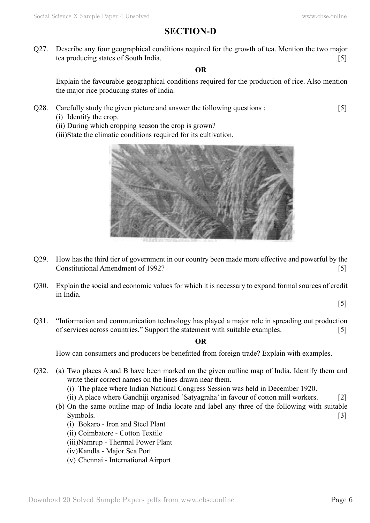# **Section-D**

Q27. Describe any four geographical conditions required for the growth of tea. Mention the two major tea producing states of South India. [5]

#### **O**

Explain the favourable geographical conditions required for the production of rice. Also mention the major rice producing states of India.

- Q28. Carefully study the given picture and answer the following questions : [5]
	- (i) Identify the crop.

(ii) During which cropping season the crop is grown?

(iii) State the climatic conditions required for its cultivation.



- Q29. How has the third tier of government in our country been made more effective and powerful by the Constitutional Amendment of 1992?
- Q30. Explain the social and economic values for which it is necessary to expand formal sources of credit in India.

[5]

Q31. "Information and communication technology has played a major role in spreading out production of services across countries." Support the statement with suitable examples. [5]

#### **O**

How can consumers and producers be benefitted from foreign trade? Explain with examples.

- Q32. (a) Two places A and B have been marked on the given outline map of India. Identify them and write their correct names on the lines drawn near them.
	- (i) The place where Indian National Congress Session was held in December 1920.
	- (ii) A place where Gandhiji organised `Satyagraha' in favour of cotton mill workers. [2]
	- (b) On the same outline map of India locate and label any three of the following with suitable  $\text{Symbols.}$  [3]
		- (i) Bokaro Iron and Steel Plant
		- (ii) Coimbatore Cotton Textile
		- (iii) Namrup Thermal Power Plant
		- (iv) Kandla Major Sea Port
		- (v) Chennai International Airport